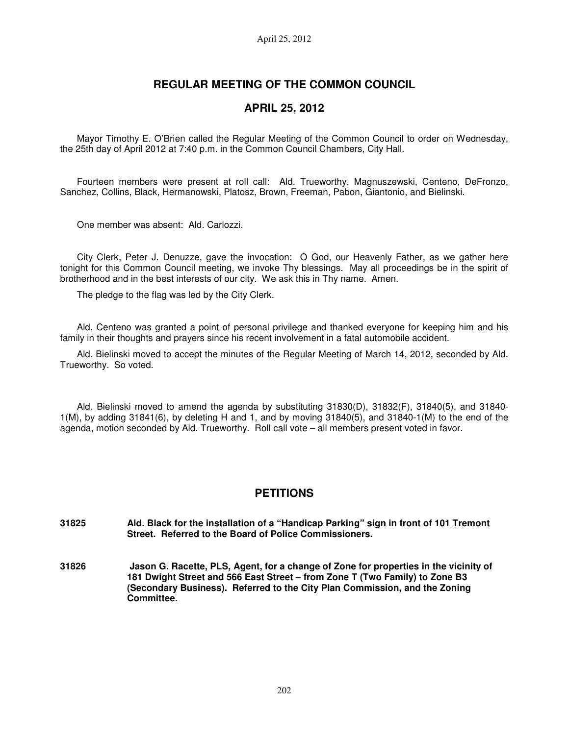# **REGULAR MEETING OF THE COMMON COUNCIL**

## **APRIL 25, 2012**

Mayor Timothy E. O'Brien called the Regular Meeting of the Common Council to order on Wednesday, the 25th day of April 2012 at 7:40 p.m. in the Common Council Chambers, City Hall.

Fourteen members were present at roll call: Ald. Trueworthy, Magnuszewski, Centeno, DeFronzo, Sanchez, Collins, Black, Hermanowski, Platosz, Brown, Freeman, Pabon, Giantonio, and Bielinski.

One member was absent: Ald. Carlozzi.

City Clerk, Peter J. Denuzze, gave the invocation: O God, our Heavenly Father, as we gather here tonight for this Common Council meeting, we invoke Thy blessings. May all proceedings be in the spirit of brotherhood and in the best interests of our city. We ask this in Thy name. Amen.

The pledge to the flag was led by the City Clerk.

Ald. Centeno was granted a point of personal privilege and thanked everyone for keeping him and his family in their thoughts and prayers since his recent involvement in a fatal automobile accident.

Ald. Bielinski moved to accept the minutes of the Regular Meeting of March 14, 2012, seconded by Ald. Trueworthy. So voted.

Ald. Bielinski moved to amend the agenda by substituting 31830(D), 31832(F), 31840(5), and 31840- 1(M), by adding 31841(6), by deleting H and 1, and by moving 31840(5), and 31840-1(M) to the end of the agenda, motion seconded by Ald. Trueworthy. Roll call vote – all members present voted in favor.

## **PETITIONS**

- **31825 Ald. Black for the installation of a "Handicap Parking" sign in front of 101 Tremont Street. Referred to the Board of Police Commissioners.**
- **31826 Jason G. Racette, PLS, Agent, for a change of Zone for properties in the vicinity of 181 Dwight Street and 566 East Street – from Zone T (Two Family) to Zone B3 (Secondary Business). Referred to the City Plan Commission, and the Zoning Committee.**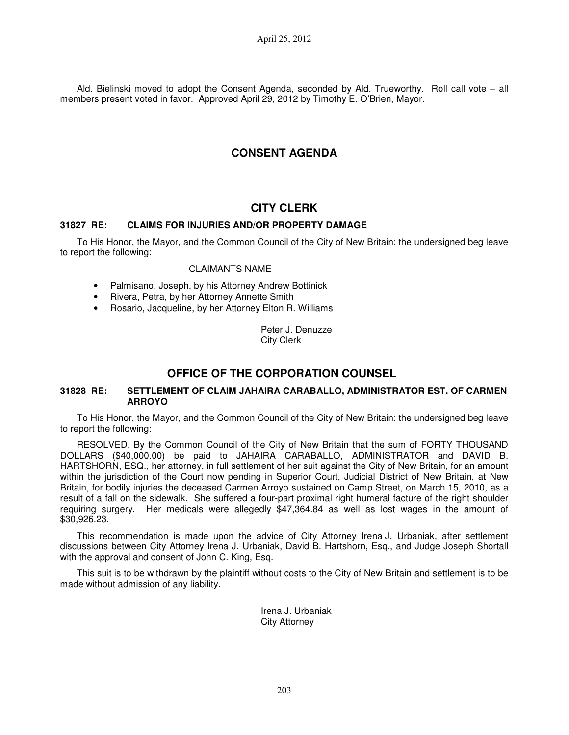Ald. Bielinski moved to adopt the Consent Agenda, seconded by Ald. Trueworthy. Roll call vote – all members present voted in favor. Approved April 29, 2012 by Timothy E. O'Brien, Mayor.

# **CONSENT AGENDA**

## **CITY CLERK**

### **31827 RE: CLAIMS FOR INJURIES AND/OR PROPERTY DAMAGE**

To His Honor, the Mayor, and the Common Council of the City of New Britain: the undersigned beg leave to report the following:

### CLAIMANTS NAME

- Palmisano, Joseph, by his Attorney Andrew Bottinick
- Rivera, Petra, by her Attorney Annette Smith
- Rosario, Jacqueline, by her Attorney Elton R. Williams

Peter J. Denuzze City Clerk

# **OFFICE OF THE CORPORATION COUNSEL**

### **31828 RE: SETTLEMENT OF CLAIM JAHAIRA CARABALLO, ADMINISTRATOR EST. OF CARMEN ARROYO**

To His Honor, the Mayor, and the Common Council of the City of New Britain: the undersigned beg leave to report the following:

RESOLVED, By the Common Council of the City of New Britain that the sum of FORTY THOUSAND DOLLARS (\$40,000.00) be paid to JAHAIRA CARABALLO, ADMINISTRATOR and DAVID B. HARTSHORN, ESQ., her attorney, in full settlement of her suit against the City of New Britain, for an amount within the jurisdiction of the Court now pending in Superior Court, Judicial District of New Britain, at New Britain, for bodily injuries the deceased Carmen Arroyo sustained on Camp Street, on March 15, 2010, as a result of a fall on the sidewalk. She suffered a four-part proximal right humeral facture of the right shoulder requiring surgery. Her medicals were allegedly \$47,364.84 as well as lost wages in the amount of \$30,926.23.

This recommendation is made upon the advice of City Attorney Irena J. Urbaniak, after settlement discussions between City Attorney Irena J. Urbaniak, David B. Hartshorn, Esq., and Judge Joseph Shortall with the approval and consent of John C. King, Esq.

This suit is to be withdrawn by the plaintiff without costs to the City of New Britain and settlement is to be made without admission of any liability.

> Irena J. Urbaniak City Attorney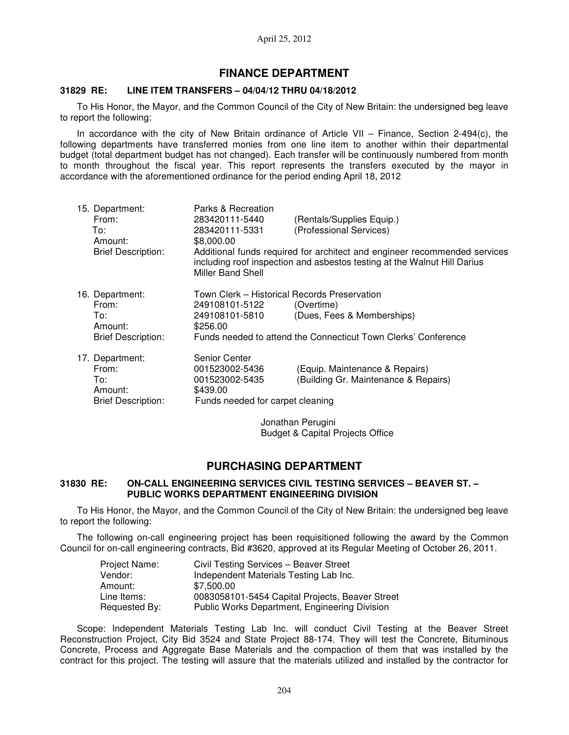## **FINANCE DEPARTMENT**

#### **31829 RE: LINE ITEM TRANSFERS – 04/04/12 THRU 04/18/2012**

To His Honor, the Mayor, and the Common Council of the City of New Britain: the undersigned beg leave to report the following:

In accordance with the city of New Britain ordinance of Article VII – Finance, Section 2-494(c), the following departments have transferred monies from one line item to another within their departmental budget (total department budget has not changed). Each transfer will be continuously numbered from month to month throughout the fiscal year. This report represents the transfers executed by the mayor in accordance with the aforementioned ordinance for the period ending April 18, 2012

| 15. Department:<br>From:<br>To:<br>Amount:<br><b>Brief Description:</b> | Parks & Recreation<br>283420111-5440<br>283420111-5331<br>\$8,000.00<br>Miller Band Shell         | (Rentals/Supplies Equip.)<br>(Professional Services)<br>Additional funds required for architect and engineer recommended services<br>including roof inspection and asbestos testing at the Walnut Hill Darius |
|-------------------------------------------------------------------------|---------------------------------------------------------------------------------------------------|---------------------------------------------------------------------------------------------------------------------------------------------------------------------------------------------------------------|
| 16. Department:<br>From:<br>To:<br>Amount:<br><b>Brief Description:</b> | Town Clerk - Historical Records Preservation<br>249108101-5122<br>249108101-5810<br>\$256.00      | (Overtime)<br>(Dues, Fees & Memberships)<br>Funds needed to attend the Connecticut Town Clerks' Conference                                                                                                    |
| 17. Department:<br>From:<br>To:<br>Amount:<br><b>Brief Description:</b> | Senior Center<br>001523002-5436<br>001523002-5435<br>\$439.00<br>Funds needed for carpet cleaning | (Equip. Maintenance & Repairs)<br>(Building Gr. Maintenance & Repairs)                                                                                                                                        |
|                                                                         |                                                                                                   | المنابع ويستحال المتحاملة والمستحدث                                                                                                                                                                           |

Jonathan Perugini Budget & Capital Projects Office

## **PURCHASING DEPARTMENT**

#### **31830 RE: ON-CALL ENGINEERING SERVICES CIVIL TESTING SERVICES – BEAVER ST. – PUBLIC WORKS DEPARTMENT ENGINEERING DIVISION**

To His Honor, the Mayor, and the Common Council of the City of New Britain: the undersigned beg leave to report the following:

The following on-call engineering project has been requisitioned following the award by the Common Council for on-call engineering contracts, Bid #3620, approved at its Regular Meeting of October 26, 2011.

| Project Name: | Civil Testing Services - Beaver Street          |
|---------------|-------------------------------------------------|
| Vendor:       | Independent Materials Testing Lab Inc.          |
| Amount:       | \$7,500.00                                      |
| Line Items:   | 0083058101-5454 Capital Projects, Beaver Street |
| Requested By: | Public Works Department, Engineering Division   |

Scope: Independent Materials Testing Lab Inc. will conduct Civil Testing at the Beaver Street Reconstruction Project, City Bid 3524 and State Project 88-174. They will test the Concrete, Bituminous Concrete, Process and Aggregate Base Materials and the compaction of them that was installed by the contract for this project. The testing will assure that the materials utilized and installed by the contractor for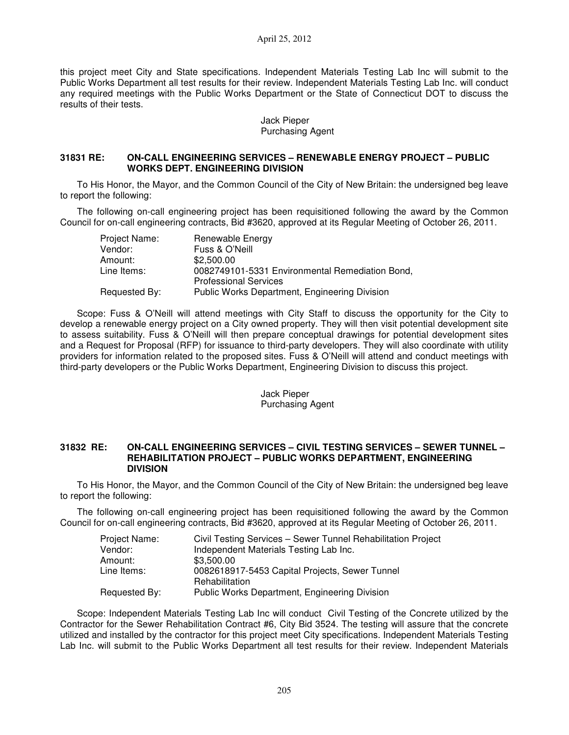this project meet City and State specifications. Independent Materials Testing Lab Inc will submit to the Public Works Department all test results for their review. Independent Materials Testing Lab Inc. will conduct any required meetings with the Public Works Department or the State of Connecticut DOT to discuss the results of their tests.

### Jack Pieper Purchasing Agent

### **31831 RE: ON-CALL ENGINEERING SERVICES – RENEWABLE ENERGY PROJECT – PUBLIC WORKS DEPT. ENGINEERING DIVISION**

To His Honor, the Mayor, and the Common Council of the City of New Britain: the undersigned beg leave to report the following:

The following on-call engineering project has been requisitioned following the award by the Common Council for on-call engineering contracts, Bid #3620, approved at its Regular Meeting of October 26, 2011.

| Project Name: | Renewable Energy                                |
|---------------|-------------------------------------------------|
| Vendor:       | Fuss & O'Neill                                  |
| Amount:       | \$2,500.00                                      |
| Line Items:   | 0082749101-5331 Environmental Remediation Bond, |
|               | <b>Professional Services</b>                    |
| Requested By: | Public Works Department, Engineering Division   |

Scope: Fuss & O'Neill will attend meetings with City Staff to discuss the opportunity for the City to develop a renewable energy project on a City owned property. They will then visit potential development site to assess suitability. Fuss & O'Neill will then prepare conceptual drawings for potential development sites and a Request for Proposal (RFP) for issuance to third-party developers. They will also coordinate with utility providers for information related to the proposed sites. Fuss & O'Neill will attend and conduct meetings with third-party developers or the Public Works Department, Engineering Division to discuss this project.

### Jack Pieper Purchasing Agent

#### **31832 RE: ON-CALL ENGINEERING SERVICES – CIVIL TESTING SERVICES – SEWER TUNNEL – REHABILITATION PROJECT – PUBLIC WORKS DEPARTMENT, ENGINEERING DIVISION**

To His Honor, the Mayor, and the Common Council of the City of New Britain: the undersigned beg leave to report the following:

The following on-call engineering project has been requisitioned following the award by the Common Council for on-call engineering contracts, Bid #3620, approved at its Regular Meeting of October 26, 2011.

| Project Name: | Civil Testing Services - Sewer Tunnel Rehabilitation Project     |
|---------------|------------------------------------------------------------------|
| Vendor:       | Independent Materials Testing Lab Inc.                           |
| Amount:       | \$3,500.00                                                       |
| Line Items:   | 0082618917-5453 Capital Projects, Sewer Tunnel<br>Rehabilitation |
| Requested By: | Public Works Department, Engineering Division                    |

Scope: Independent Materials Testing Lab Inc will conduct Civil Testing of the Concrete utilized by the Contractor for the Sewer Rehabilitation Contract #6, City Bid 3524. The testing will assure that the concrete utilized and installed by the contractor for this project meet City specifications. Independent Materials Testing Lab Inc. will submit to the Public Works Department all test results for their review. Independent Materials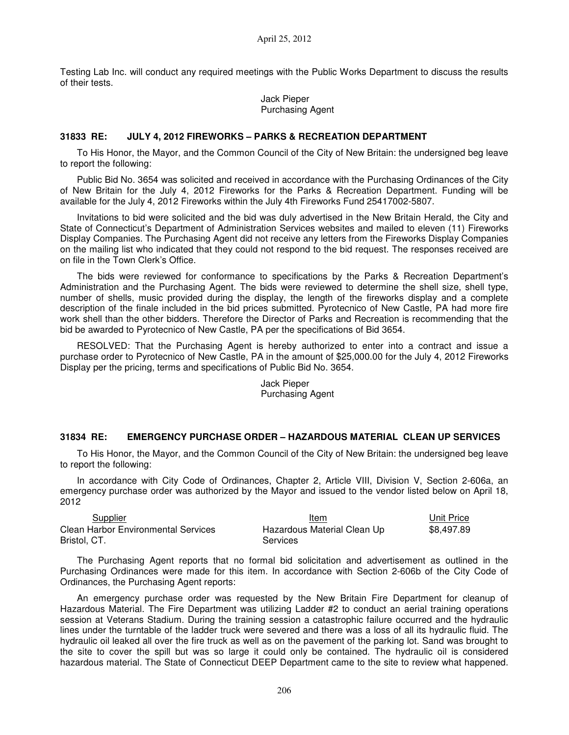Testing Lab Inc. will conduct any required meetings with the Public Works Department to discuss the results of their tests.

> Jack Pieper Purchasing Agent

#### **31833 RE: JULY 4, 2012 FIREWORKS – PARKS & RECREATION DEPARTMENT**

To His Honor, the Mayor, and the Common Council of the City of New Britain: the undersigned beg leave to report the following:

Public Bid No. 3654 was solicited and received in accordance with the Purchasing Ordinances of the City of New Britain for the July 4, 2012 Fireworks for the Parks & Recreation Department. Funding will be available for the July 4, 2012 Fireworks within the July 4th Fireworks Fund 25417002-5807.

Invitations to bid were solicited and the bid was duly advertised in the New Britain Herald, the City and State of Connecticut's Department of Administration Services websites and mailed to eleven (11) Fireworks Display Companies. The Purchasing Agent did not receive any letters from the Fireworks Display Companies on the mailing list who indicated that they could not respond to the bid request. The responses received are on file in the Town Clerk's Office.

The bids were reviewed for conformance to specifications by the Parks & Recreation Department's Administration and the Purchasing Agent. The bids were reviewed to determine the shell size, shell type, number of shells, music provided during the display, the length of the fireworks display and a complete description of the finale included in the bid prices submitted. Pyrotecnico of New Castle, PA had more fire work shell than the other bidders. Therefore the Director of Parks and Recreation is recommending that the bid be awarded to Pyrotecnico of New Castle, PA per the specifications of Bid 3654.

RESOLVED: That the Purchasing Agent is hereby authorized to enter into a contract and issue a purchase order to Pyrotecnico of New Castle, PA in the amount of \$25,000.00 for the July 4, 2012 Fireworks Display per the pricing, terms and specifications of Public Bid No. 3654.

> Jack Pieper Purchasing Agent

#### **31834 RE: EMERGENCY PURCHASE ORDER – HAZARDOUS MATERIAL CLEAN UP SERVICES**

To His Honor, the Mayor, and the Common Council of the City of New Britain: the undersigned beg leave to report the following:

In accordance with City Code of Ordinances, Chapter 2, Article VIII, Division V, Section 2-606a, an emergency purchase order was authorized by the Mayor and issued to the vendor listed below on April 18, 2012

| Supplier                                            | Item                                    | Unit Price |
|-----------------------------------------------------|-----------------------------------------|------------|
| Clean Harbor Environmental Services<br>Bristol, CT. | Hazardous Material Clean Up<br>Services | \$8.497.89 |
|                                                     |                                         |            |

The Purchasing Agent reports that no formal bid solicitation and advertisement as outlined in the Purchasing Ordinances were made for this item. In accordance with Section 2-606b of the City Code of Ordinances, the Purchasing Agent reports:

An emergency purchase order was requested by the New Britain Fire Department for cleanup of Hazardous Material. The Fire Department was utilizing Ladder #2 to conduct an aerial training operations session at Veterans Stadium. During the training session a catastrophic failure occurred and the hydraulic lines under the turntable of the ladder truck were severed and there was a loss of all its hydraulic fluid. The hydraulic oil leaked all over the fire truck as well as on the pavement of the parking lot. Sand was brought to the site to cover the spill but was so large it could only be contained. The hydraulic oil is considered hazardous material. The State of Connecticut DEEP Department came to the site to review what happened.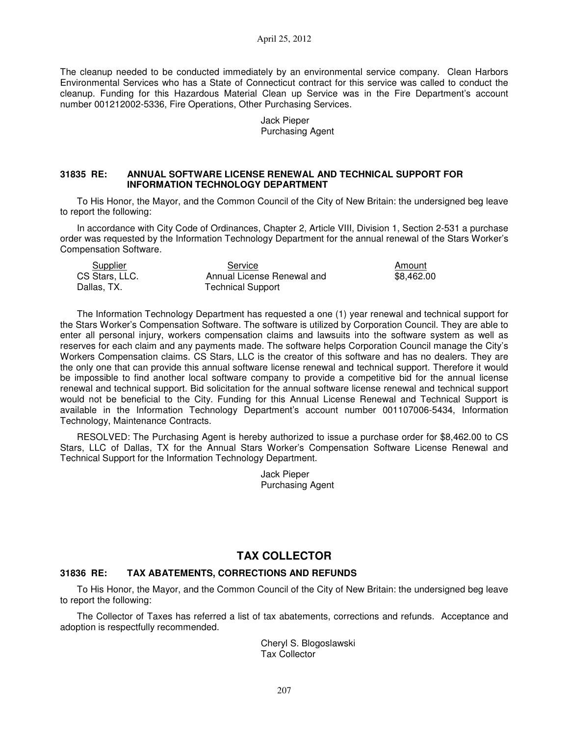April 25, 2012

The cleanup needed to be conducted immediately by an environmental service company. Clean Harbors Environmental Services who has a State of Connecticut contract for this service was called to conduct the cleanup. Funding for this Hazardous Material Clean up Service was in the Fire Department's account number 001212002-5336, Fire Operations, Other Purchasing Services.

> Jack Pieper Purchasing Agent

### **31835 RE: ANNUAL SOFTWARE LICENSE RENEWAL AND TECHNICAL SUPPORT FOR INFORMATION TECHNOLOGY DEPARTMENT**

To His Honor, the Mayor, and the Common Council of the City of New Britain: the undersigned beg leave to report the following:

In accordance with City Code of Ordinances, Chapter 2, Article VIII, Division 1, Section 2-531 a purchase order was requested by the Information Technology Department for the annual renewal of the Stars Worker's Compensation Software.

| Supplier       | Service                    | Amount     |
|----------------|----------------------------|------------|
| CS Stars, LLC. | Annual License Renewal and | \$8.462.00 |
| Dallas, TX.    | <b>Technical Support</b>   |            |

The Information Technology Department has requested a one (1) year renewal and technical support for the Stars Worker's Compensation Software. The software is utilized by Corporation Council. They are able to enter all personal injury, workers compensation claims and lawsuits into the software system as well as reserves for each claim and any payments made. The software helps Corporation Council manage the City's Workers Compensation claims. CS Stars, LLC is the creator of this software and has no dealers. They are the only one that can provide this annual software license renewal and technical support. Therefore it would be impossible to find another local software company to provide a competitive bid for the annual license renewal and technical support. Bid solicitation for the annual software license renewal and technical support would not be beneficial to the City. Funding for this Annual License Renewal and Technical Support is available in the Information Technology Department's account number 001107006-5434, Information Technology, Maintenance Contracts.

RESOLVED: The Purchasing Agent is hereby authorized to issue a purchase order for \$8,462.00 to CS Stars, LLC of Dallas, TX for the Annual Stars Worker's Compensation Software License Renewal and Technical Support for the Information Technology Department.

> Jack Pieper Purchasing Agent

# **TAX COLLECTOR**

### **31836 RE: TAX ABATEMENTS, CORRECTIONS AND REFUNDS**

To His Honor, the Mayor, and the Common Council of the City of New Britain: the undersigned beg leave to report the following:

The Collector of Taxes has referred a list of tax abatements, corrections and refunds. Acceptance and adoption is respectfully recommended.

> Cheryl S. Blogoslawski Tax Collector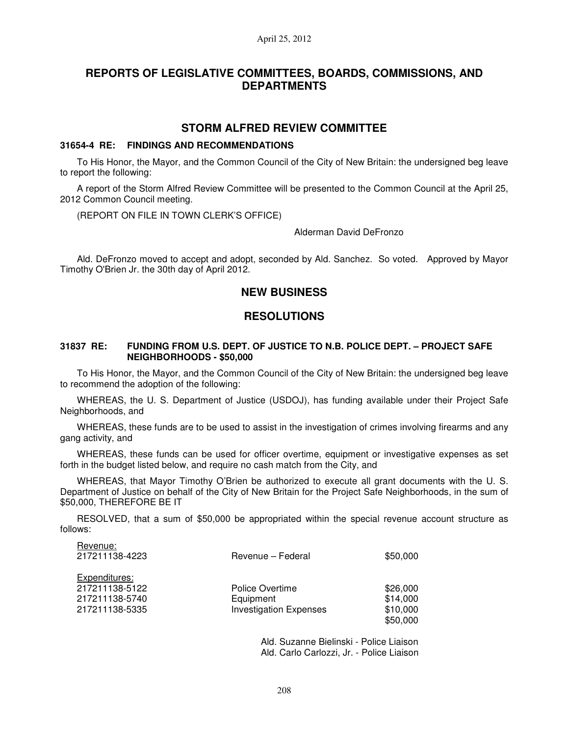# **REPORTS OF LEGISLATIVE COMMITTEES, BOARDS, COMMISSIONS, AND DEPARTMENTS**

### **STORM ALFRED REVIEW COMMITTEE**

#### **31654-4 RE: FINDINGS AND RECOMMENDATIONS**

To His Honor, the Mayor, and the Common Council of the City of New Britain: the undersigned beg leave to report the following:

A report of the Storm Alfred Review Committee will be presented to the Common Council at the April 25, 2012 Common Council meeting.

(REPORT ON FILE IN TOWN CLERK'S OFFICE)

Revenue:

Alderman David DeFronzo

Ald. DeFronzo moved to accept and adopt, seconded by Ald. Sanchez. So voted. Approved by Mayor Timothy O'Brien Jr. the 30th day of April 2012.

## **NEW BUSINESS**

## **RESOLUTIONS**

#### **31837 RE: FUNDING FROM U.S. DEPT. OF JUSTICE TO N.B. POLICE DEPT. – PROJECT SAFE NEIGHBORHOODS - \$50,000**

To His Honor, the Mayor, and the Common Council of the City of New Britain: the undersigned beg leave to recommend the adoption of the following:

WHEREAS, the U. S. Department of Justice (USDOJ), has funding available under their Project Safe Neighborhoods, and

WHEREAS, these funds are to be used to assist in the investigation of crimes involving firearms and any gang activity, and

WHEREAS, these funds can be used for officer overtime, equipment or investigative expenses as set forth in the budget listed below, and require no cash match from the City, and

WHEREAS, that Mayor Timothy O'Brien be authorized to execute all grant documents with the U. S. Department of Justice on behalf of the City of New Britain for the Project Safe Neighborhoods, in the sum of \$50,000, THEREFORE BE IT

RESOLVED, that a sum of \$50,000 be appropriated within the special revenue account structure as follows:

| nevellue.<br>217211138-4223                                         | Revenue – Federal                                             | \$50,000                                     |
|---------------------------------------------------------------------|---------------------------------------------------------------|----------------------------------------------|
| Expenditures:<br>217211138-5122<br>217211138-5740<br>217211138-5335 | Police Overtime<br>Equipment<br><b>Investigation Expenses</b> | \$26,000<br>\$14,000<br>\$10,000<br>\$50,000 |
|                                                                     |                                                               |                                              |

Ald. Suzanne Bielinski - Police Liaison Ald. Carlo Carlozzi, Jr. - Police Liaison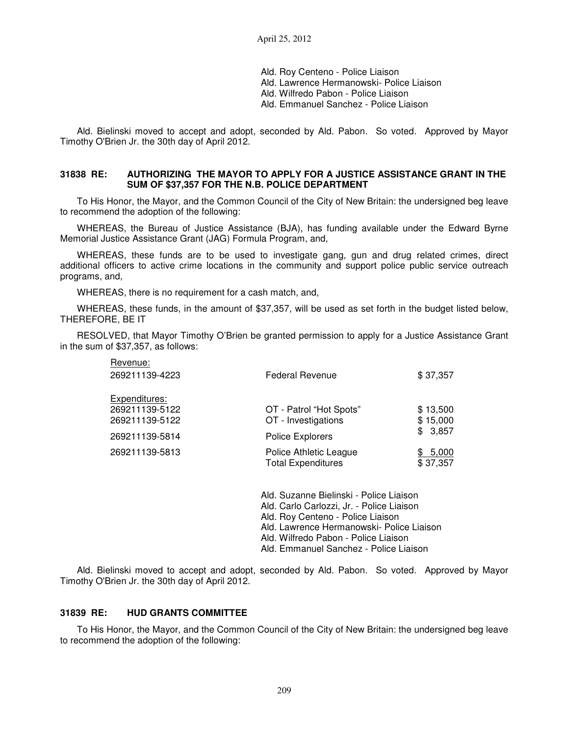Ald. Roy Centeno - Police Liaison Ald. Lawrence Hermanowski- Police Liaison Ald. Wilfredo Pabon - Police Liaison Ald. Emmanuel Sanchez - Police Liaison

Ald. Bielinski moved to accept and adopt, seconded by Ald. Pabon. So voted. Approved by Mayor Timothy O'Brien Jr. the 30th day of April 2012.

#### **31838 RE: AUTHORIZING THE MAYOR TO APPLY FOR A JUSTICE ASSISTANCE GRANT IN THE SUM OF \$37,357 FOR THE N.B. POLICE DEPARTMENT**

To His Honor, the Mayor, and the Common Council of the City of New Britain: the undersigned beg leave to recommend the adoption of the following:

WHEREAS, the Bureau of Justice Assistance (BJA), has funding available under the Edward Byrne Memorial Justice Assistance Grant (JAG) Formula Program, and,

WHEREAS, these funds are to be used to investigate gang, gun and drug related crimes, direct additional officers to active crime locations in the community and support police public service outreach programs, and,

WHEREAS, there is no requirement for a cash match, and,

WHEREAS, these funds, in the amount of \$37,357, will be used as set forth in the budget listed below, THEREFORE, BE IT

RESOLVED, that Mayor Timothy O'Brien be granted permission to apply for a Justice Assistance Grant in the sum of \$37,357, as follows:

| Revenue:       |                                                     |                          |
|----------------|-----------------------------------------------------|--------------------------|
| 269211139-4223 | <b>Federal Revenue</b>                              | \$37,357                 |
| Expenditures:  |                                                     |                          |
| 269211139-5122 | OT - Patrol "Hot Spots"                             | \$13,500                 |
| 269211139-5122 | OT - Investigations                                 | \$15,000                 |
| 269211139-5814 | Police Explorers                                    | \$3,857                  |
| 269211139-5813 | Police Athletic League<br><b>Total Expenditures</b> | 5,000<br>SS.<br>\$37,357 |
|                |                                                     |                          |

Ald. Suzanne Bielinski - Police Liaison Ald. Carlo Carlozzi, Jr. - Police Liaison Ald. Roy Centeno - Police Liaison Ald. Lawrence Hermanowski- Police Liaison Ald. Wilfredo Pabon - Police Liaison Ald. Emmanuel Sanchez - Police Liaison

Ald. Bielinski moved to accept and adopt, seconded by Ald. Pabon. So voted. Approved by Mayor Timothy O'Brien Jr. the 30th day of April 2012.

#### **31839 RE: HUD GRANTS COMMITTEE**

To His Honor, the Mayor, and the Common Council of the City of New Britain: the undersigned beg leave to recommend the adoption of the following: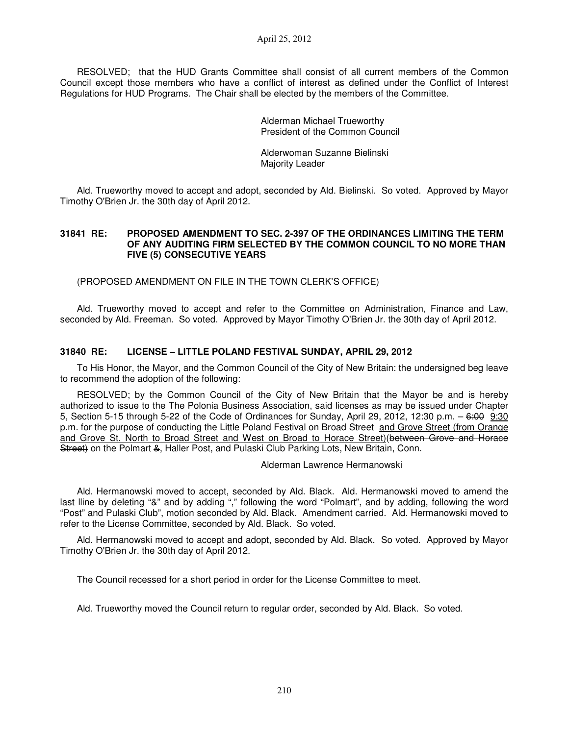RESOLVED; that the HUD Grants Committee shall consist of all current members of the Common Council except those members who have a conflict of interest as defined under the Conflict of Interest Regulations for HUD Programs. The Chair shall be elected by the members of the Committee.

> Alderman Michael Trueworthy President of the Common Council

Alderwoman Suzanne Bielinski Majority Leader

Ald. Trueworthy moved to accept and adopt, seconded by Ald. Bielinski. So voted. Approved by Mayor Timothy O'Brien Jr. the 30th day of April 2012.

#### **31841 RE: PROPOSED AMENDMENT TO SEC. 2-397 OF THE ORDINANCES LIMITING THE TERM OF ANY AUDITING FIRM SELECTED BY THE COMMON COUNCIL TO NO MORE THAN FIVE (5) CONSECUTIVE YEARS**

(PROPOSED AMENDMENT ON FILE IN THE TOWN CLERK'S OFFICE)

Ald. Trueworthy moved to accept and refer to the Committee on Administration, Finance and Law, seconded by Ald. Freeman. So voted. Approved by Mayor Timothy O'Brien Jr. the 30th day of April 2012.

### **31840 RE: LICENSE – LITTLE POLAND FESTIVAL SUNDAY, APRIL 29, 2012**

To His Honor, the Mayor, and the Common Council of the City of New Britain: the undersigned beg leave to recommend the adoption of the following:

RESOLVED; by the Common Council of the City of New Britain that the Mayor be and is hereby authorized to issue to the The Polonia Business Association, said licenses as may be issued under Chapter 5, Section 5-15 through 5-22 of the Code of Ordinances for Sunday, April 29, 2012, 12:30 p.m. – 6:00 9:30 p.m. for the purpose of conducting the Little Poland Festival on Broad Street and Grove Street (from Orange and Grove St. North to Broad Street and West on Broad to Horace Street)(between Grove and Horace Street) on the Polmart & Haller Post, and Pulaski Club Parking Lots, New Britain, Conn.

Alderman Lawrence Hermanowski

Ald. Hermanowski moved to accept, seconded by Ald. Black. Ald. Hermanowski moved to amend the last lline by deleting "&" and by adding "," following the word "Polmart", and by adding, following the word "Post" and Pulaski Club", motion seconded by Ald. Black. Amendment carried. Ald. Hermanowski moved to refer to the License Committee, seconded by Ald. Black. So voted.

Ald. Hermanowski moved to accept and adopt, seconded by Ald. Black. So voted. Approved by Mayor Timothy O'Brien Jr. the 30th day of April 2012.

The Council recessed for a short period in order for the License Committee to meet.

Ald. Trueworthy moved the Council return to regular order, seconded by Ald. Black. So voted.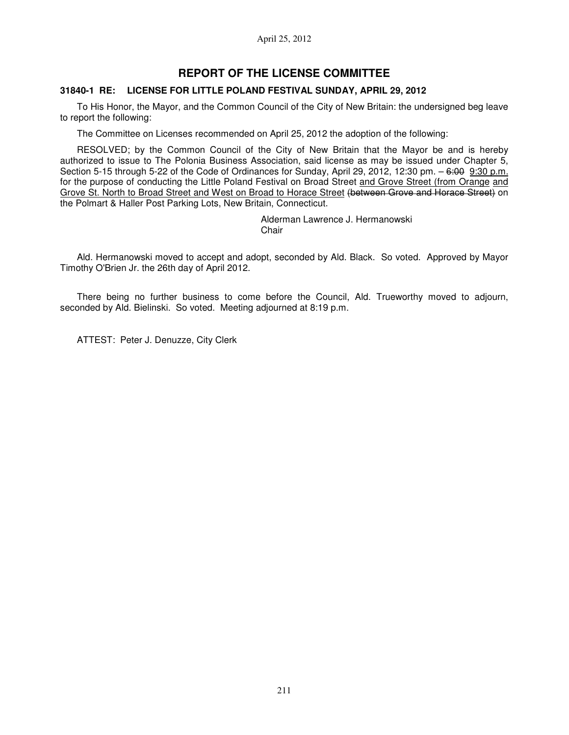## **REPORT OF THE LICENSE COMMITTEE**

#### **31840-1 RE: LICENSE FOR LITTLE POLAND FESTIVAL SUNDAY, APRIL 29, 2012**

To His Honor, the Mayor, and the Common Council of the City of New Britain: the undersigned beg leave to report the following:

The Committee on Licenses recommended on April 25, 2012 the adoption of the following:

RESOLVED; by the Common Council of the City of New Britain that the Mayor be and is hereby authorized to issue to The Polonia Business Association, said license as may be issued under Chapter 5, Section 5-15 through 5-22 of the Code of Ordinances for Sunday, April 29, 2012, 12:30 pm. - 6:00 9:30 p.m. for the purpose of conducting the Little Poland Festival on Broad Street and Grove Street (from Orange and Grove St. North to Broad Street and West on Broad to Horace Street (between Grove and Horace Street) on the Polmart & Haller Post Parking Lots, New Britain, Connecticut.

> Alderman Lawrence J. Hermanowski **Chair**

Ald. Hermanowski moved to accept and adopt, seconded by Ald. Black. So voted. Approved by Mayor Timothy O'Brien Jr. the 26th day of April 2012.

There being no further business to come before the Council, Ald. Trueworthy moved to adjourn, seconded by Ald. Bielinski. So voted. Meeting adjourned at 8:19 p.m.

ATTEST: Peter J. Denuzze, City Clerk